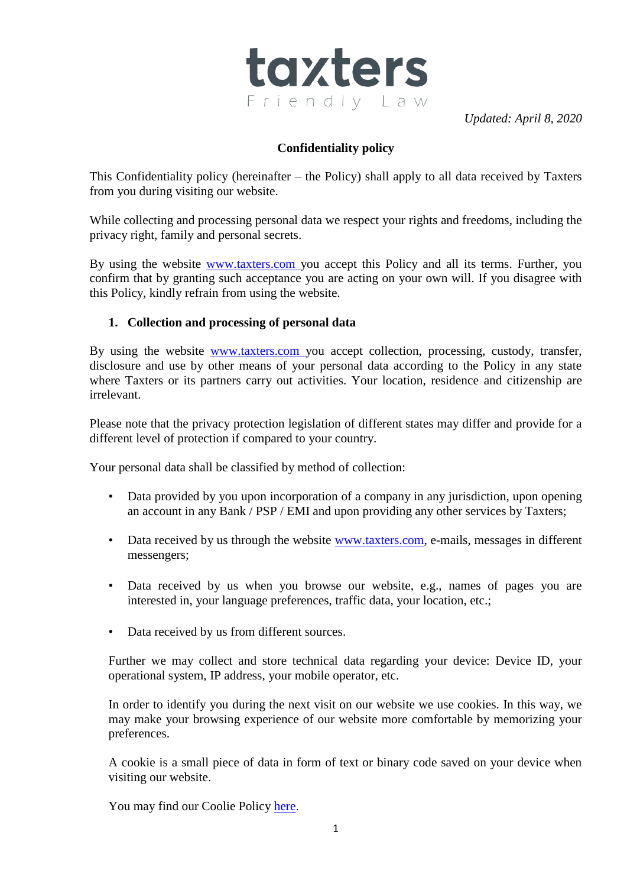

*Updated: April 8, 2020*

# **Confidentiality policy**

This Confidentiality policy (hereinafter – the Policy) shall apply to all data received by Taxters from you during visiting our website.

While collecting and processing personal data we respect your rights and freedoms, including the privacy right, family and personal secrets.

By using the website [www.taxters.com](http://www.taxters.com/) you accept this Policy and all its terms. Further, you confirm that by granting such acceptance you are acting on your own will. If you disagree with this Policy, kindly refrain from using the website.

#### **1. Collection and processing of personal data**

By using the website [www.taxters.com](http://www.taxters.com/) you accept collection, processing, custody, transfer, disclosure and use by other means of your personal data according to the Policy in any state where Taxters or its partners carry out activities. Your location, residence and citizenship are irrelevant.

Please note that the privacy protection legislation of different states may differ and provide for a different level of protection if compared to your country.

Your personal data shall be classified by method of collection:

- Data provided by you upon incorporation of a company in any jurisdiction, upon opening an account in any Bank / PSP / EMI and upon providing any other services by Taxters;
- Data received by us through the website [www.taxters.com,](http://www.taxters.com/) e-mails, messages in different messengers;
- Data received by us when you browse our website, e.g., names of pages you are interested in, your language preferences, traffic data, your location, etc.;
- Data received by us from different sources.

Further we may collect and store technical data regarding your device: Device ID, your operational system, IP address, your mobile operator, etc.

In order to identify you during the next visit on our website we use cookies. In this way, we may make your browsing experience of our website more comfortable by memorizing your preferences.

A cookie is a small piece of data in form of text or binary code saved on your device when visiting our website.

You may find our Coolie Policy [here.](https://taxters.com/files/uploads/Cookie%20Policy%20ENG2.pdf)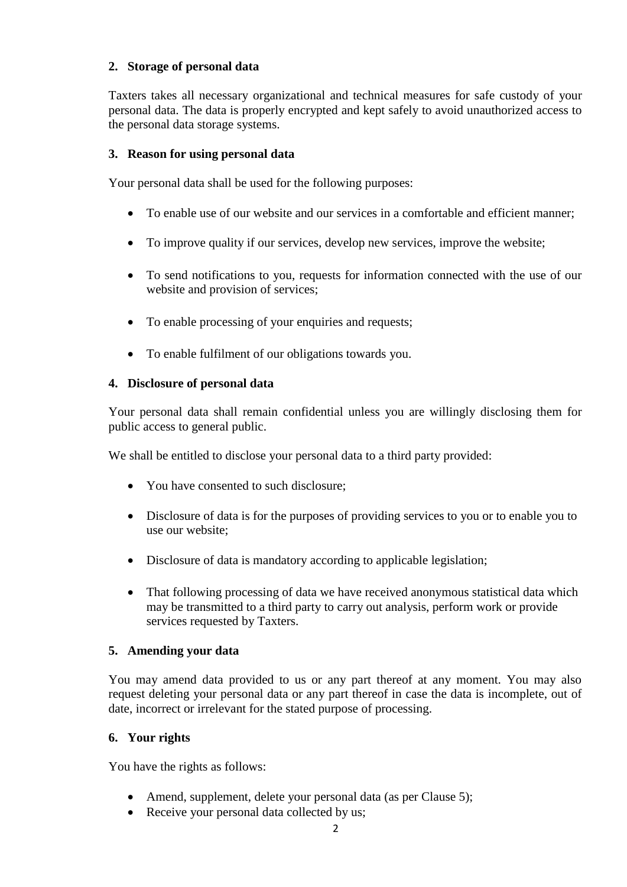## **2. Storage of personal data**

Taxters takes all necessary organizational and technical measures for safe custody of your personal data. The data is properly encrypted and kept safely to avoid unauthorized access to the personal data storage systems.

#### **3. Reason for using personal data**

Your personal data shall be used for the following purposes:

- To enable use of our website and our services in a comfortable and efficient manner;
- To improve quality if our services, develop new services, improve the website;
- To send notifications to you, requests for information connected with the use of our website and provision of services;
- To enable processing of your enquiries and requests;
- To enable fulfilment of our obligations towards you.

## **4. Disclosure of personal data**

Your personal data shall remain confidential unless you are willingly disclosing them for public access to general public.

We shall be entitled to disclose your personal data to a third party provided:

- You have consented to such disclosure:
- Disclosure of data is for the purposes of providing services to you or to enable you to use our website;
- Disclosure of data is mandatory according to applicable legislation;
- That following processing of data we have received anonymous statistical data which may be transmitted to a third party to carry out analysis, perform work or provide services requested by Taxters.

#### **5. Amending your data**

You may amend data provided to us or any part thereof at any moment. You may also request deleting your personal data or any part thereof in case the data is incomplete, out of date, incorrect or irrelevant for the stated purpose of processing.

#### **6. Your rights**

You have the rights as follows:

- Amend, supplement, delete your personal data (as per Clause 5);
- Receive your personal data collected by us;